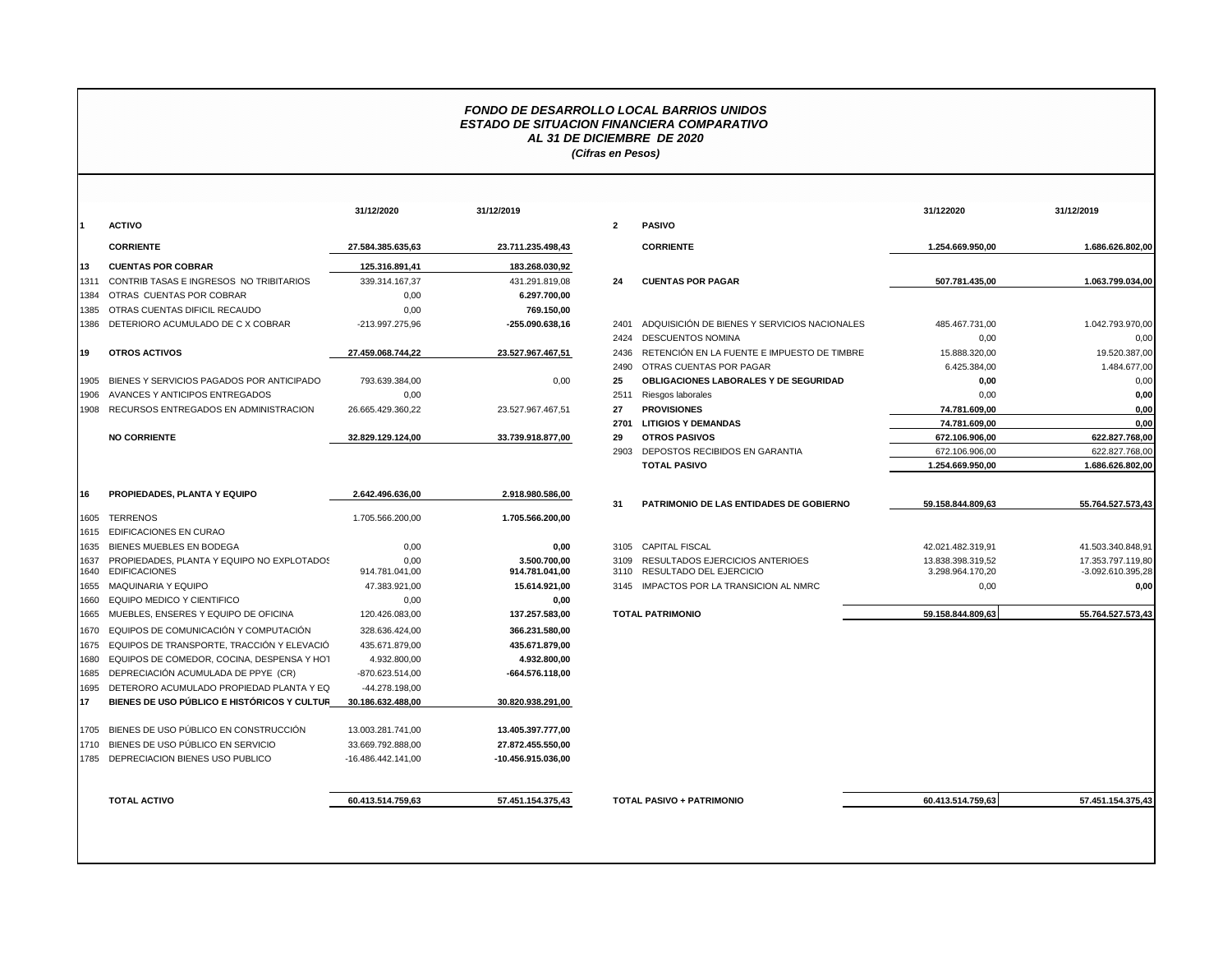## *FONDO DE DESARROLLO LOCAL BARRIOS UNIDOS ESTADO DE SITUACION FINANCIERA COMPARATIVO AL 31 DE DICIEMBRE DE 2020 (Cifras en Pesos)*

|              |                                                                    | 31/12/2020             | 31/12/2019                     |              |                                |
|--------------|--------------------------------------------------------------------|------------------------|--------------------------------|--------------|--------------------------------|
| 11.          | <b>ACTIVO</b>                                                      |                        |                                | $\mathbf{2}$ | <b>PASIVO</b>                  |
|              | <b>CORRIENTE</b>                                                   | 27.584.385.635.63      | 23.711.235.498,43              |              | <b>CORRIE</b>                  |
| 13           | <b>CUENTAS POR COBRAR</b>                                          | 125.316.891,41         | 183.268.030,92                 |              |                                |
| 1311         | CONTRIB TASAS E INGRESOS NO TRIBITARIOS                            | 339.314.167,37         | 431.291.819.08                 | 24           | <b>CUENT/</b>                  |
| 1384         | OTRAS CUENTAS POR COBRAR                                           | 0,00                   | 6.297.700,00                   |              |                                |
| 1385         | OTRAS CUENTAS DIFICIL RECAUDO                                      | 0.00                   | 769.150,00                     |              |                                |
| 1386         | DETERIORO ACUMULADO DE C X COBRAR                                  | -213.997.275.96        | $-255.090.638,16$              | 2401         | <b>ADQUIS</b>                  |
|              |                                                                    |                        |                                | 2424         | <b>DESCUI</b>                  |
| 19           | <b>OTROS ACTIVOS</b>                                               | 27.459.068.744,22      | 23.527.967.467,51              | 2436         | <b>RETENO</b>                  |
|              |                                                                    |                        |                                | 2490         | <b>OTRAS</b>                   |
| 1905         | BIENES Y SERVICIOS PAGADOS POR ANTICIPADO                          | 793.639.384,00         | 0,00                           | 25           | <b>OBLIGA</b>                  |
| 1906         | AVANCES Y ANTICIPOS ENTREGADOS                                     | 0.00                   |                                | 2511         | Riesgos                        |
| 1908         | RECURSOS ENTREGADOS EN ADMINISTRACION                              | 26.665.429.360,22      | 23.527.967.467,51              | 27           | <b>PROVIS</b>                  |
|              |                                                                    |                        |                                | 2701         | LITIGIO                        |
|              | <b>NO CORRIENTE</b>                                                | 32.829.129.124,00      | 33.739.918.877,00              | 29           | <b>OTROS</b>                   |
|              |                                                                    |                        |                                | 2903         | DEPOS <sup>-</sup>             |
|              |                                                                    |                        |                                |              | <b>TOTAL</b>                   |
| 16           | PROPIEDADES, PLANTA Y EQUIPO                                       | 2.642.496.636,00       | 2.918.980.586,00               |              |                                |
|              |                                                                    |                        |                                | 31           | <b>PATRIM</b>                  |
| 1605         | <b>TERRENOS</b>                                                    | 1.705.566.200,00       | 1.705.566.200,00               |              |                                |
| 1615         | <b>EDIFICACIONES EN CURAO</b>                                      |                        |                                |              |                                |
| 1635         | BIENES MUEBLES EN BODEGA                                           | 0,00                   | 0,00                           | 3105         | <b>CAPITA</b>                  |
| 1637<br>1640 | PROPIEDADES, PLANTA Y EQUIPO NO EXPLOTADOS<br><b>EDIFICACIONES</b> | 0.00<br>914.781.041,00 | 3.500.700.00<br>914.781.041,00 | 3109<br>3110 | <b>RESULT</b><br><b>RESULT</b> |
| 1655         | <b>MAQUINARIA Y EQUIPO</b>                                         | 47.383.921,00          | 15.614.921,00                  | 3145         | <b>IMPACT</b>                  |
| 1660         | EQUIPO MEDICO Y CIENTIFICO                                         | 0,00                   | 0,00                           |              |                                |
| 1665         | MUEBLES, ENSERES Y EQUIPO DE OFICINA                               | 120.426.083,00         | 137.257.583,00                 |              | <b>TOTAL PATRIN</b>            |
| 1670         | EQUIPOS DE COMUNICACIÓN Y COMPUTACIÓN                              | 328.636.424,00         | 366.231.580.00                 |              |                                |
| 1675         | EQUIPOS DE TRANSPORTE, TRACCIÓN Y ELEVACIÓ                         | 435.671.879,00         | 435.671.879,00                 |              |                                |
| 1680         | EQUIPOS DE COMEDOR, COCINA, DESPENSA Y HOT                         | 4.932.800,00           | 4.932.800,00                   |              |                                |
| 1685         | DEPRECIACIÓN ACUMULADA DE PPYE (CR)                                | -870.623.514,00        | $-664.576.118.00$              |              |                                |
| 1695         | DETERORO ACUMULADO PROPIEDAD PLANTA Y EQ                           | -44.278.198,00         |                                |              |                                |
| 17           | BIENES DE USO PÚBLICO E HISTÓRICOS Y CULTUR                        | 30.186.632.488,00      | 30.820.938.291,00              |              |                                |
|              |                                                                    |                        |                                |              |                                |
| 1705         | BIENES DE USO PÚBLICO EN CONSTRUCCIÓN                              | 13.003.281.741,00      | 13.405.397.777,00              |              |                                |
| 1710         | BIENES DE USO PÚBLICO EN SERVICIO                                  | 33.669.792.888.00      | 27.872.455.550,00              |              |                                |
| 1785         | DEPRECIACION BIENES USO PUBLICO                                    | -16.486.442.141,00     | -10.456.915.036,00             |              |                                |
|              |                                                                    |                        |                                |              |                                |

|      |                                                                  | 31/12/2020             | 31/12/2019                     |                         |                                                                 | 31/122020                             | 31/12/2019                               |
|------|------------------------------------------------------------------|------------------------|--------------------------------|-------------------------|-----------------------------------------------------------------|---------------------------------------|------------------------------------------|
|      | <b>ACTIVO</b>                                                    |                        |                                | $\overline{\mathbf{2}}$ | <b>PASIVO</b>                                                   |                                       |                                          |
|      | <b>CORRIENTE</b>                                                 | 27.584.385.635.63      | 23.711.235.498,43              |                         | <b>CORRIENTE</b>                                                | 1.254.669.950,00                      | 1.686.626.802,00                         |
| 13   | <b>CUENTAS POR COBRAR</b>                                        | 125.316.891,41         | 183.268.030,92                 |                         |                                                                 |                                       |                                          |
| 1311 | CONTRIB TASAS E INGRESOS NO TRIBITARIOS                          | 339.314.167,37         | 431.291.819,08                 | 24                      | <b>CUENTAS POR PAGAR</b>                                        | 507.781.435,00                        | 1.063.799.034,00                         |
| 1384 | OTRAS CUENTAS POR COBRAR                                         | 0,00                   | 6.297.700,00                   |                         |                                                                 |                                       |                                          |
|      | 1385 OTRAS CUENTAS DIFICIL RECAUDO                               | 0,00                   | 769.150,00                     |                         |                                                                 |                                       |                                          |
|      | 1386 DETERIORO ACUMULADO DE CX COBRAR                            | -213.997.275,96        | -255.090.638,16                | 2401                    | ADQUISICIÓN DE BIENES Y SERVICIOS NACIONALES                    | 485.467.731,00                        | 1.042.793.970,00                         |
|      |                                                                  |                        |                                | 2424                    | <b>DESCUENTOS NOMINA</b>                                        | 0,00                                  | 0,00                                     |
| 19   | <b>OTROS ACTIVOS</b>                                             | 27.459.068.744.22      | 23.527.967.467.51              | 2436                    | RETENCIÓN EN LA FUENTE E IMPUESTO DE TIMBRE                     | 15.888.320,00                         | 19.520.387,00                            |
|      |                                                                  |                        |                                | 2490                    | OTRAS CUENTAS POR PAGAR                                         | 6.425.384,00                          | 1.484.677,00                             |
|      | 1905 BIENES Y SERVICIOS PAGADOS POR ANTICIPADO                   | 793.639.384,00         | 0,00                           | 25                      | <b>OBLIGACIONES LABORALES Y DE SEGURIDAD</b>                    | 0,00                                  | 0,00                                     |
|      | 1906 AVANCES Y ANTICIPOS ENTREGADOS                              | 0,00                   |                                | 2511                    | Riesgos laborales                                               | 0,00                                  | 0,00                                     |
|      | 1908 RECURSOS ENTREGADOS EN ADMINISTRACION                       | 26.665.429.360,22      | 23.527.967.467,51              | 27                      | <b>PROVISIONES</b>                                              | 74.781.609,00                         | 0,00                                     |
|      |                                                                  |                        |                                | 2701                    | <b>LITIGIOS Y DEMANDAS</b>                                      | 74.781.609,00                         | 0,00                                     |
|      | <b>NO CORRIENTE</b>                                              | 32.829.129.124,00      | 33.739.918.877,00              | 29                      | <b>OTROS PASIVOS</b>                                            | 672.106.906,00                        | 622.827.768,00                           |
|      |                                                                  |                        |                                |                         | 2903 DEPOSTOS RECIBIDOS EN GARANTIA                             | 672.106.906,00                        | 622.827.768,00                           |
|      |                                                                  |                        |                                |                         | <b>TOTAL PASIVO</b>                                             | 1.254.669.950,00                      | 1.686.626.802.00                         |
|      |                                                                  |                        |                                |                         |                                                                 |                                       |                                          |
| 16   | PROPIEDADES, PLANTA Y EQUIPO                                     | 2.642.496.636,00       | 2.918.980.586,00               |                         |                                                                 |                                       |                                          |
|      |                                                                  |                        |                                | 31                      | PATRIMONIO DE LAS ENTIDADES DE GOBIERNO                         | 59.158.844.809,63                     | 55.764.527.573,43                        |
|      | 1605 TERRENOS                                                    | 1.705.566.200,00       | 1.705.566.200.00               |                         |                                                                 |                                       |                                          |
|      | 1615 EDIFICACIONES EN CURAO                                      |                        |                                |                         |                                                                 |                                       |                                          |
|      | 1635 BIENES MUEBLES EN BODEGA                                    | 0,00                   | 0,00                           |                         | 3105 CAPITAL FISCAL                                             | 42.021.482.319,91                     | 41.503.340.848,91                        |
| 1637 | PROPIEDADES, PLANTA Y EQUIPO NO EXPLOTADOS<br>1640 EDIFICACIONES | 0,00<br>914.781.041,00 | 3.500.700,00<br>914.781.041,00 | 3109                    | RESULTADOS EJERCICIOS ANTERIOES<br>3110 RESULTADO DEL EJERCICIO | 13.838.398.319,52<br>3.298.964.170,20 | 17.353.797.119,80<br>$-3.092.610.395,28$ |
|      | 1655 MAQUINARIA Y EQUIPO                                         | 47.383.921,00          | 15.614.921,00                  |                         | 3145 IMPACTOS POR LA TRANSICION AL NMRC                         | 0,00                                  | 0,00                                     |
|      | 1660 EQUIPO MEDICO Y CIENTIFICO                                  | 0,00                   | 0,00                           |                         |                                                                 |                                       |                                          |
|      | 1665 MUEBLES, ENSERES Y EQUIPO DE OFICINA                        | 120.426.083,00         | 137.257.583,00                 |                         | <b>TOTAL PATRIMONIO</b>                                         | 59.158.844.809,63                     | 55.764.527.573,43                        |
|      |                                                                  |                        |                                |                         |                                                                 |                                       |                                          |
|      | 1670 EQUIPOS DE COMUNICACIÓN Y COMPUTACIÓN                       | 328.636.424,00         | 366.231.580,00                 |                         |                                                                 |                                       |                                          |
|      | 1675 EQUIPOS DE TRANSPORTE, TRACCIÓN Y ELEVACIÓ                  | 435.671.879,00         | 435.671.879,00                 |                         |                                                                 |                                       |                                          |
|      | 1680 EQUIPOS DE COMEDOR, COCINA, DESPENSA Y HOT                  | 4.932.800,00           | 4.932.800,00                   |                         |                                                                 |                                       |                                          |
|      | 1685 DEPRECIACIÓN ACUMULADA DE PPYE (CR)                         | -870.623.514,00        | -664.576.118,00                |                         |                                                                 |                                       |                                          |
|      | 1695 DETERORO ACUMULADO PROPIEDAD PLANTA Y EQ                    | -44.278.198,00         |                                |                         |                                                                 |                                       |                                          |
| 17   | BIENES DE USO PÚBLICO E HISTÓRICOS Y CULTUR                      | 30.186.632.488.00      | 30.820.938.291,00              |                         |                                                                 |                                       |                                          |
|      | 1705 BIENES DE USO PÚBLICO EN CONSTRUCCIÓN                       | 13.003.281.741.00      | 13.405.397.777,00              |                         |                                                                 |                                       |                                          |
|      | 1710 BIENES DE USO PÚBLICO EN SERVICIO                           | 33.669.792.888,00      | 27.872.455.550,00              |                         |                                                                 |                                       |                                          |
|      | 1785 DEPRECIACION BIENES USO PUBLICO                             | -16.486.442.141,00     | -10.456.915.036,00             |                         |                                                                 |                                       |                                          |
|      |                                                                  |                        |                                |                         |                                                                 |                                       |                                          |
|      |                                                                  |                        |                                |                         |                                                                 |                                       |                                          |
|      | <b>TOTAL ACTIVO</b>                                              | 60.413.514.759.63      | 57.451.154.375,43              |                         | <b>TOTAL PASIVO + PATRIMONIO</b>                                | 60.413.514.759,63                     | 57.451.154.375,43                        |